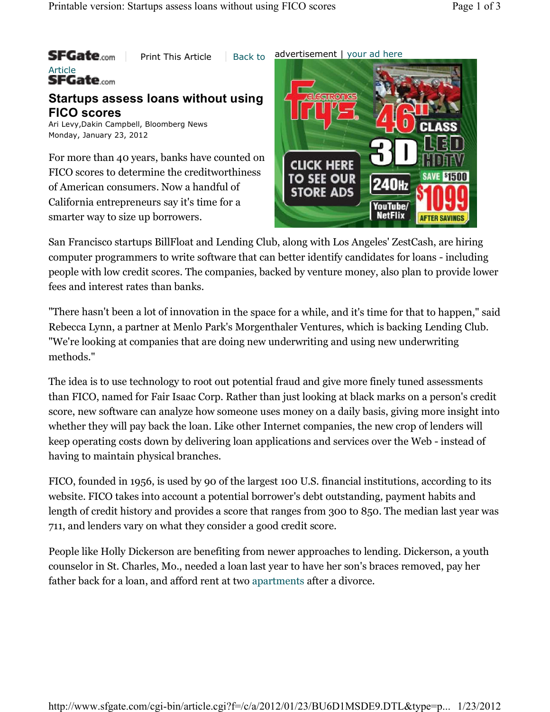

San Francisco startups BillFloat and Lending Club, along with Los Angeles' ZestCash, are hiring computer programmers to write software that can better identify candidates for loans - including people with low credit scores. The companies, backed by venture money, also plan to provide lower fees and interest rates than banks.

"There hasn't been a lot of innovation in the space for a while, and it's time for that to happen," said Rebecca Lynn, a partner at Menlo Park's Morgenthaler Ventures, which is backing Lending Club. "We're looking at companies that are doing new underwriting and using new underwriting methods."

The idea is to use technology to root out potential fraud and give more finely tuned assessments than FICO, named for Fair Isaac Corp. Rather than just looking at black marks on a person's credit score, new software can analyze how someone uses money on a daily basis, giving more insight into whether they will pay back the loan. Like other Internet companies, the new crop of lenders will keep operating costs down by delivering loan applications and services over the Web - instead of having to maintain physical branches.

FICO, founded in 1956, is used by 90 of the largest 100 U.S. financial institutions, according to its website. FICO takes into account a potential borrower's debt outstanding, payment habits and length of credit history and provides a score that ranges from 300 to 850. The median last year was 711, and lenders vary on what they consider a good credit score.

People like Holly Dickerson are benefiting from newer approaches to lending. Dickerson, a youth counselor in St. Charles, Mo., needed a loan last year to have her son's braces removed, pay her father back for a loan, and afford rent at two apartments after a divorce.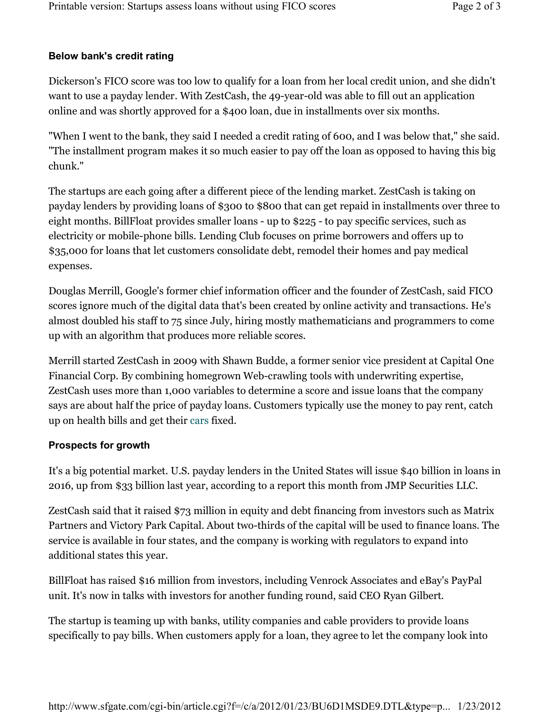## **Below bank's credit rating**

Dickerson's FICO score was too low to qualify for a loan from her local credit union, and she didn't want to use a payday lender. With ZestCash, the 49-year-old was able to fill out an application online and was shortly approved for a \$400 loan, due in installments over six months.

"When I went to the bank, they said I needed a credit rating of 600, and I was below that," she said. "The installment program makes it so much easier to pay off the loan as opposed to having this big chunk."

The startups are each going after a different piece of the lending market. ZestCash is taking on payday lenders by providing loans of \$300 to \$800 that can get repaid in installments over three to eight months. BillFloat provides smaller loans - up to \$225 - to pay specific services, such as electricity or mobile-phone bills. Lending Club focuses on prime borrowers and offers up to \$35,000 for loans that let customers consolidate debt, remodel their homes and pay medical expenses.

Douglas Merrill, Google's former chief information officer and the founder of ZestCash, said FICO scores ignore much of the digital data that's been created by online activity and transactions. He's almost doubled his staff to 75 since July, hiring mostly mathematicians and programmers to come up with an algorithm that produces more reliable scores.

Merrill started ZestCash in 2009 with Shawn Budde, a former senior vice president at Capital One Financial Corp. By combining homegrown Web-crawling tools with underwriting expertise, ZestCash uses more than 1,000 variables to determine a score and issue loans that the company says are about half the price of payday loans. Customers typically use the money to pay rent, catch up on health bills and get their cars fixed.

## **Prospects for growth**

It's a big potential market. U.S. payday lenders in the United States will issue \$40 billion in loans in 2016, up from \$33 billion last year, according to a report this month from JMP Securities LLC.

ZestCash said that it raised \$73 million in equity and debt financing from investors such as Matrix Partners and Victory Park Capital. About two-thirds of the capital will be used to finance loans. The service is available in four states, and the company is working with regulators to expand into additional states this year.

BillFloat has raised \$16 million from investors, including Venrock Associates and eBay's PayPal unit. It's now in talks with investors for another funding round, said CEO Ryan Gilbert.

The startup is teaming up with banks, utility companies and cable providers to provide loans specifically to pay bills. When customers apply for a loan, they agree to let the company look into